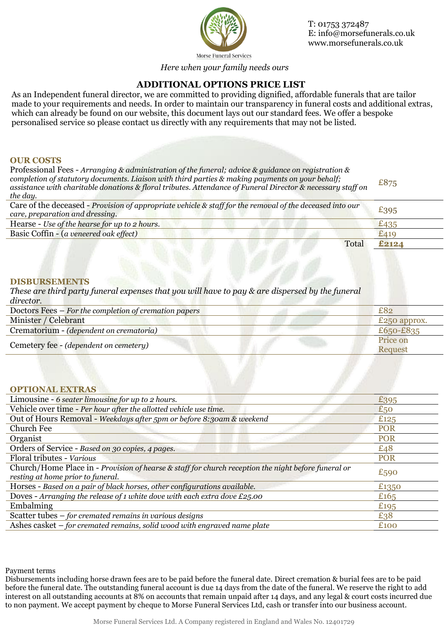

T: 01753 372487 E: info@morsefunerals.co.uk www.morsefunerals.co.uk

Morse Funeral Services

*Here when your family needs ours*

# **ADDITIONAL OPTIONS PRICE LIST**

As an Independent funeral director, we are committed to providing dignified, affordable funerals that are tailor made to your requirements and needs. In order to maintain our transparency in funeral costs and additional extras, which can already be found on our website, this document lays out our standard fees. We offer a bespoke personalised service so please contact us directly with any requirements that may not be listed.

### **OUR COSTS**

Professional Fees - *Arranging & administration of the funeral; advice & guidance on registration & completion of statutory documents. Liaison with third parties & making payments on your behalf; assistance with charitable donations & floral tributes. Attendance of Funeral Director & necessary staff on the day.* £875 Care of the deceased - *Provision of appropriate vehicle & staff for the removal of the deceased into our* 

| Care of the deceased - Provision of appropriate vehicle & staff for the removal of the deceased into our<br>care, preparation and dressing. | £395  |
|---------------------------------------------------------------------------------------------------------------------------------------------|-------|
| Hearse - Use of the hearse for up to 2 hours.                                                                                               | £435  |
| Basic Coffin - (a veneered oak effect)                                                                                                      |       |
| Total                                                                                                                                       | £2124 |

#### **DISBURSEMENTS**

*These are third party funeral expenses that you will have to pay & are dispersed by the funeral director.*

| Doctors Fees – For the completion of cremation papers | £82          |
|-------------------------------------------------------|--------------|
| Minister / Celebrant                                  | £250 approx. |
| Crematorium - (dependent on crematoria)               | £650-£835    |
| Cemetery fee - (dependent on cemetery)                | Price on     |
|                                                       | Request      |

#### **OPTIONAL EXTRAS**

| Limousine - 6 seater limousine for up to 2 hours.                                                   | £395       |
|-----------------------------------------------------------------------------------------------------|------------|
| Vehicle over time - Per hour after the allotted vehicle use time.                                   | £50        |
| Out of Hours Removal - Weekdays after 5pm or before 8:30am & weekend                                | £125       |
| Church Fee                                                                                          | <b>POR</b> |
| Organist                                                                                            | <b>POR</b> |
| Orders of Service - Based on 30 copies, 4 pages.                                                    | £48        |
| Floral tributes - Various                                                                           | <b>POR</b> |
| Church/Home Place in - Provision of hearse & staff for church reception the night before funeral or | £590       |
| resting at home prior to funeral.                                                                   |            |
| Horses - Based on a pair of black horses, other configurations available.                           | £1350      |
| Doves - Arranging the release of 1 white dove with each extra dove $£25.00$                         | £165       |
| Embalming                                                                                           | £195       |
| Scatter tubes $-$ for cremated remains in various designs                                           | £38        |
| Ashes casket $-$ for cremated remains, solid wood with engraved name plate                          | £100       |

Payment terms

Disbursements including horse drawn fees are to be paid before the funeral date. Direct cremation & burial fees are to be paid before the funeral date. The outstanding funeral account is due 14 days from the date of the funeral. We reserve the right to add interest on all outstanding accounts at 8% on accounts that remain unpaid after 14 days, and any legal & court costs incurred due to non payment. We accept payment by cheque to Morse Funeral Services Ltd, cash or transfer into our business account.